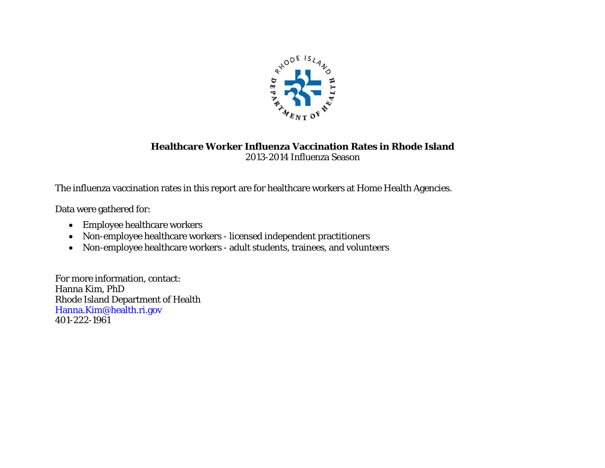

#### **Healthcare Worker Influenza Vaccination Rates in Rhode Island**  2013-2014 Influenza Season

The influenza vaccination rates in this report are for healthcare workers at Home Health Agencies.

Data were gathered for:

- Employee healthcare workers
- Non-employee healthcare workers licensed independent practitioners
- Non-employee healthcare workers adult students, trainees, and volunteers

For more information, contact: Hanna Kim, PhD Rhode Island Department of Health Hanna.Kim@health.ri.gov 401-222-1961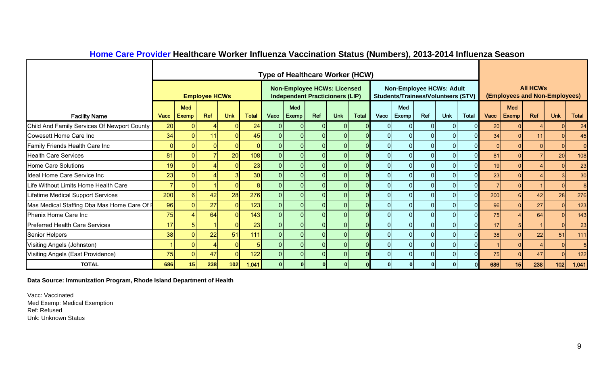|                                             |                 |                            |                      |                |              |      |                |                | Type of Healthcare Worker (HCW)                                              |              |                |                                                                              |                |                |              |      |                     |                                                  |                |              |
|---------------------------------------------|-----------------|----------------------------|----------------------|----------------|--------------|------|----------------|----------------|------------------------------------------------------------------------------|--------------|----------------|------------------------------------------------------------------------------|----------------|----------------|--------------|------|---------------------|--------------------------------------------------|----------------|--------------|
|                                             |                 |                            | <b>Employee HCWs</b> |                |              |      |                |                | <b>Non-Employee HCWs: Licensed</b><br><b>Independent Practicioners (LIP)</b> |              |                | <b>Non-Employee HCWs: Adult</b><br><b>Students/Trainees/Volunteers (STV)</b> |                |                |              |      |                     | <b>All HCWs</b><br>(Employees and Non-Employees) |                |              |
| <b>Facility Name</b>                        | Vacc            | <b>Med</b><br><b>Exemp</b> | Ref                  | <b>Unk</b>     | <b>Total</b> | Vacc | Med<br>Exemp   | <b>Ref</b>     | <b>Unk</b>                                                                   | <b>Total</b> | Vacc           | Med<br>Exemp!                                                                | Ref            | <b>Unk</b>     | <b>Total</b> | Vacc | Med<br><b>Exemp</b> | <b>Ref</b>                                       | <b>Unk</b>     | <b>Total</b> |
| Child And Family Services Of Newport County | 20 <sup>1</sup> |                            |                      | $\Omega$       | 24           |      | ΟI             | $\Omega$       | <sup>O</sup>                                                                 |              | 0I             | $\overline{0}$                                                               | 0              | $\Omega$       |              | 20   |                     |                                                  | $\Omega$       | 24           |
| <b>Cowesett Home Care Inc</b>               | 34              |                            | 11                   |                | 45           |      |                |                |                                                                              |              | $\Omega$       | $\overline{0}$                                                               | $\Omega$       |                |              | 34   |                     |                                                  |                | 45           |
| Family Friends Health Care Inc              | 0               |                            |                      | $\overline{0}$ |              |      | 0              | $\Omega$       |                                                                              |              | $\overline{0}$ | 0                                                                            | $\mathbf{0}$   | $\Omega$       |              |      |                     |                                                  |                | $\Omega$     |
| <b>Health Care Services</b>                 | 81              |                            |                      | 20             | 108          |      | ΟI             | $\Omega$       | $\Omega$                                                                     |              | $\overline{0}$ | 0                                                                            | $\mathbf{0}$   | $\Omega$       |              | 81   |                     |                                                  | 20             | 108          |
| <b>Home Care Solutions</b>                  | 19              |                            |                      |                | 23           |      | 01             |                |                                                                              |              | 01             | 0                                                                            | $\overline{0}$ | $\Omega$       |              | 19   |                     |                                                  |                | 23           |
| Ideal Home Care Service Inc                 | 23              |                            |                      |                | 30           |      |                |                |                                                                              |              | 01             | 0                                                                            | $\Omega$       |                |              | 23   |                     |                                                  |                | 30           |
| Life Without Limits Home Health Care        |                 |                            |                      | $\Omega$       |              |      | $\overline{0}$ | $\Omega$       |                                                                              |              | 01             | 0                                                                            | $\Omega$       | $\Omega$       |              |      |                     |                                                  |                |              |
| <b>Lifetime Medical Support Services</b>    | 200             |                            | 42                   | 28             | 276          |      | $\overline{0}$ | $\Omega$       | $\overline{0}$                                                               |              | 0              | 0                                                                            | $\mathbf 0$    | $\Omega$       |              | 200  |                     | 42                                               | 28             | 276          |
| Mas Medical Staffing Dba Mas Home Care Of F | 96              |                            | 27                   | $\overline{0}$ | 123          |      | 01             | $\mathbf{0}$   | $\overline{0}$                                                               |              | 0              | 0                                                                            | $\mathbf{0}$   | $\Omega$       |              | 96   |                     | 27                                               | $\overline{0}$ | 123          |
| Phenix Home Care Inc                        | 75              |                            | 64                   | $\Omega$       | 143          |      |                |                |                                                                              |              | 0              | 01                                                                           |                |                |              | 75   |                     | 64                                               |                | 143          |
| <b>Preferred Health Care Services</b>       | 17              |                            |                      | $\Omega$       | 23           |      |                | $\Omega$       |                                                                              |              | $\Omega$       | 0                                                                            | $\Omega$       | $\Omega$       |              | 17   |                     |                                                  |                | 23           |
| <b>Senior Helpers</b>                       | 38              |                            | 22                   | 51             | 111          |      |                |                | $\overline{0}$                                                               |              | 0              | 0                                                                            | $\mathbf{0}$   | $\Omega$       |              | 38   |                     | 22                                               | 51             | 111          |
| Visiting Angels (Johnston)                  |                 |                            |                      | $\Omega$       |              |      | 01             | $\overline{0}$ | $\overline{0}$                                                               |              | 0              | 0                                                                            | $\mathbf{0}$   | $\overline{0}$ |              |      |                     |                                                  | $\Omega$       |              |
| Visiting Angels (East Providence)           | 75              |                            | 47                   | $\Omega$       | 122          |      |                |                |                                                                              |              | 0              | 0                                                                            | $\Omega$       |                |              | 75   |                     | 47                                               |                | 122          |
| <b>TOTAL</b>                                | 686             | 15 <sup>1</sup>            | 238                  | 102            | 1,041        |      |                |                |                                                                              |              | 01             |                                                                              |                |                |              | 686  | 15 <sup>1</sup>     | 238                                              | 102            | 1,041        |

## **Home Care Provider Healthcare Worker Influenza Vaccination Status (Numbers), 2013-2014 Influenza Season**

**Data Source: Immunization Program, Rhode Island Department of Health**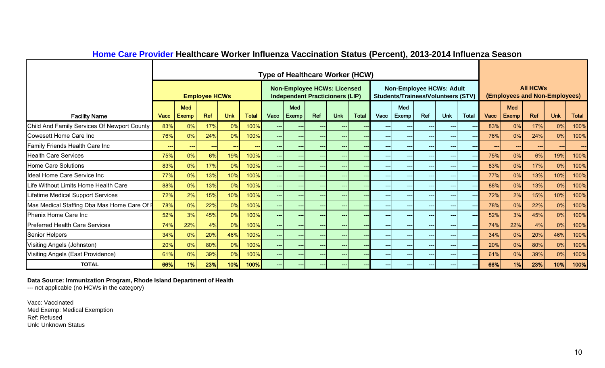|                                             |               |                            |                      |            |              |       | <b>Type of Healthcare Worker (HCW)</b>                                       |       |                     |              |                                          |                                                                              |       |            |              |         |                            |                 |                               |              |
|---------------------------------------------|---------------|----------------------------|----------------------|------------|--------------|-------|------------------------------------------------------------------------------|-------|---------------------|--------------|------------------------------------------|------------------------------------------------------------------------------|-------|------------|--------------|---------|----------------------------|-----------------|-------------------------------|--------------|
|                                             |               |                            | <b>Employee HCWs</b> |            |              |       | <b>Non-Employee HCWs: Licensed</b><br><b>Independent Practicioners (LIP)</b> |       |                     |              |                                          | <b>Non-Employee HCWs: Adult</b><br><b>Students/Trainees/Volunteers (STV)</b> |       |            |              |         |                            | <b>All HCWs</b> | (Employees and Non-Employees) |              |
| <b>Facility Name</b>                        | <b>Vacc</b>   | <b>Med</b><br><b>Exemp</b> | Ref                  | <b>Unk</b> | <b>Total</b> | Vacc  | Med<br>Exemp                                                                 | Ref   | <b>Unk</b>          | <b>Total</b> | Vacc                                     | Med<br>Exemp                                                                 | Ref   | <b>Unk</b> | <b>Total</b> | Vacc    | <b>Med</b><br><b>Exemp</b> | Ref             | <b>Unk</b>                    | <b>Total</b> |
| Child And Family Services Of Newport County | 83%           | 0%                         | 17%                  | 0%         | 100%         | $---$ | $---$                                                                        | ---   | $---$               |              | $---$                                    | $---$                                                                        | $---$ | ---        |              | 83%     | 0%                         | 17%             | 0%                            | 100%         |
| Cowesett Home Care Inc                      | 76%           | 0%                         | 24%                  | 0%         | 100%         | $---$ | $---$                                                                        | ---   | $---$               |              | $---$                                    | $---$                                                                        | $---$ | ---        |              | 76%     | 0%                         | 24%             | 0%                            | 100%         |
| Family Friends Health Care Inc              | $\sim$ $\sim$ | $---$                      | ---                  | $---$      |              | $---$ | $---$                                                                        | ---   | $---$               |              | $---$                                    | $---$                                                                        | $---$ | $---$      |              | $- - -$ | ---                        | $---$           | $\qquad \qquad -$             | $---$        |
| <b>Health Care Services</b>                 | 75%           | 0%                         | 6%                   | 19%        | 100%         | $---$ | $---$                                                                        | $---$ | $--$                |              | ----                                     | $---$                                                                        | $---$ | ---        | $ -$         | 75%     | 0%                         | 6%              | 19%                           | 100%         |
| <b>Home Care Solutions</b>                  | 83%           | 0%                         | 17%                  | 0%         | 100%         | $---$ | $---$                                                                        | ---   | $--$                |              | $--$                                     | $---$                                                                        | $---$ | $---$      | $- -$        | 83%     | 0%                         | 17%             | 0%                            | 100%         |
| Ideal Home Care Service Inc                 | 77%           | $0\%$                      | 13%                  | 10%        | 100%         | $---$ | $---$                                                                        | ---   | $---$               |              | $\hspace{0.05cm} \ldots \hspace{0.05cm}$ | $---$                                                                        | ---   | $---$      | $-$          | 77%     | 0%                         | 13%             | 10%                           | 100%         |
| Life Without Limits Home Health Care        | 88%           | 0%                         | 13%                  | 0%         | 100%         | $---$ | $---$                                                                        | ---   | $---$               |              | $---$                                    | $---$                                                                        | ---   | ---        |              | 88%     | 0%                         | 13%             | 0%                            | 100%         |
| <b>Lifetime Medical Support Services</b>    | 72%           | 2%                         | 15%                  | 10%        | 100%         | $---$ | $---$                                                                        | ---   | $---$               |              | $---$                                    | $---$                                                                        | ---   |            |              | 72%     | 2%                         | 15%             | 10%                           | 100%         |
| Mas Medical Staffing Dba Mas Home Care Of F | 78%           | $0\%$                      | 22%                  | 0%         | 100%         | $---$ | $\qquad \qquad -\qquad$                                                      | ---   | $---$               |              | $---$                                    | $---$                                                                        | $---$ | $---$      |              | 78%     | 0%                         | 22%             | 0%                            | 100%         |
| Phenix Home Care Inc                        | 52%           | 3%                         | 45%                  | 0%         | 100%         | $---$ | ---                                                                          | ---   | $---$               |              | $---$                                    | ---                                                                          | $---$ |            |              | 52%     | 3%                         | 45%             | 0%                            | 100%         |
| <b>Preferred Health Care Services</b>       | 74%           | 22%                        | 4%                   | 0%         | 100%         | $---$ | $---$                                                                        | ---   | $\qquad \qquad - -$ |              | $\hspace{0.05cm} \ldots$                 | $---$                                                                        | $---$ | $---$      | $- -$        | 74%     | 22%                        | 4%              | $0\%$                         | 100%         |
| <b>Senior Helpers</b>                       | 34%           | 0%                         | 20%                  | 46%        | 100%         | $---$ | ---                                                                          | ---   | $---$               |              | $\qquad \qquad \cdots$                   | $---$                                                                        | $---$ |            |              | 34%     | 0%                         | 20%             | 46%                           | 100%         |
| Visiting Angels (Johnston)                  | 20%           | 0%                         | 80%                  | 0%         | 100%         | $---$ | $---$                                                                        | $---$ | $---$               |              | $---$                                    | $---$                                                                        | $---$ |            |              | 20%     | 0%                         | 80%             | 0%                            | 100%         |
| Visiting Angels (East Providence)           | 61%           | 0%                         | 39%                  | 0%         | 100%         | $---$ | $---$                                                                        | $---$ | $---$               |              | $---$                                    | $---$                                                                        | $---$ | ---        |              | 61%     | 0%                         | 39%             | 0%                            | 100%         |
| <b>TOTAL</b>                                | 66%           | 1%                         | 23%                  | 10%        | 100%         |       |                                                                              | ---   |                     |              |                                          |                                                                              | ---   |            |              | 66%     | 1%                         | 23%             | 10%                           | 100%         |

## **Home Care Provider Healthcare Worker Influenza Vaccination Status (Percent), 2013-2014 Influenza Season**

**Data Source: Immunization Program, Rhode Island Department of Health**

--- not applicable (no HCWs in the category)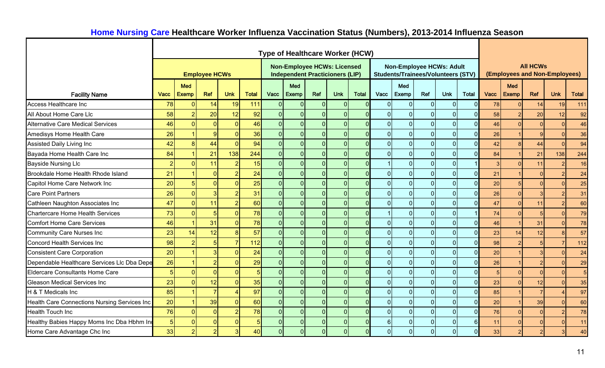|                                              |             |                |                          |                |              | <b>Type of Healthcare Worker (HCW)</b> |                                                                              |                |                |          |                |                |                |                                                                              |          |      |              |                 |                               |              |
|----------------------------------------------|-------------|----------------|--------------------------|----------------|--------------|----------------------------------------|------------------------------------------------------------------------------|----------------|----------------|----------|----------------|----------------|----------------|------------------------------------------------------------------------------|----------|------|--------------|-----------------|-------------------------------|--------------|
|                                              |             |                | <b>Employee HCWs</b>     |                |              |                                        | <b>Non-Employee HCWs: Licensed</b><br><b>Independent Practicioners (LIP)</b> |                |                |          |                |                |                | <b>Non-Employee HCWs: Adult</b><br><b>Students/Trainees/Volunteers (STV)</b> |          |      |              | <b>All HCWs</b> | (Employees and Non-Employees) |              |
|                                              |             | <b>Med</b>     |                          |                |              |                                        | <b>Med</b>                                                                   |                |                |          |                | Med            |                |                                                                              |          |      | Med          |                 |                               |              |
| <b>Facility Name</b>                         | <b>Vacc</b> | <b>Exemp</b>   | Ref                      | <b>Unk</b>     | <b>Total</b> | Vacc                                   | Exemp                                                                        | Ref            | <b>Unk</b>     | Total    | Vacc           | Exemp          | Ref            | <b>Unk</b>                                                                   | Total    | Vacc | <b>Exemp</b> | Ref             | <b>Unk</b>                    | <b>Total</b> |
| Access Healthcare Inc                        | 78          | $\Omega$       | 14                       | 19             | 111          | $\Omega$                               | $\Omega$                                                                     | $\mathbf 0$    | $\overline{0}$ | $\Omega$ | 0              | $\overline{0}$ | $\overline{0}$ |                                                                              |          | 78   |              | 14              | 19                            | 111          |
| All About Home Care Llc                      | 58          |                | 20 <sup>°</sup>          | 12             | 92           | $\overline{0}$                         | $\Omega$                                                                     | $\overline{0}$ | $\Omega$       |          | 0              | $\overline{0}$ | $\overline{0}$ | U                                                                            |          | 58   |              | 20              | 12                            | 92           |
| <b>Alternative Care Medical Services</b>     | 46          | $\Omega$       | $\overline{0}$           | $\overline{0}$ | 46           | 0                                      | $\overline{0}$                                                               | $\overline{0}$ | $\overline{0}$ |          | 0              | $\overline{0}$ | $\overline{0}$ | $\Omega$                                                                     |          | 46   |              | $\overline{0}$  | $\Omega$                      | 46           |
| Amedisys Home Health Care                    | 26          |                | 9                        | $\Omega$       | 36           | $\Omega$                               | $\Omega$                                                                     | $\overline{0}$ | $\Omega$       |          | $\overline{0}$ | $\overline{0}$ | $\overline{0}$ | $\Omega$                                                                     |          | 26   |              | $\mathbf{Q}$    | O                             | 36           |
| Assisted Daily Living Inc                    | 42          | $\mathbf{8}$   | 44                       | $\overline{0}$ | 94           | 0                                      | $\overline{0}$                                                               | $\overline{0}$ | $\overline{0}$ | $\Omega$ | $\overline{0}$ | $\overline{0}$ | $\overline{0}$ | $\Omega$                                                                     |          | 42   |              | 44              | $\Omega$                      | 94           |
| Bayada Home Health Care Inc                  | 84          |                | 21                       | 138            | 244          | $\overline{0}$                         | $\Omega$                                                                     | $\overline{0}$ | $\Omega$       |          | $\overline{0}$ | $\overline{0}$ | $\overline{0}$ | $\Omega$                                                                     |          | 84   |              | 21              | 138                           | 244          |
| <b>Bayside Nursing Llc</b>                   |             | $\Omega$       | 11                       |                | 15           | $\overline{0}$                         | $\overline{0}$                                                               | $\mathbf 0$    | $\Omega$       |          |                | $\overline{0}$ | $\mathbf 0$    | $\Omega$                                                                     |          |      |              | 11              | $\overline{2}$                | 16           |
| Brookdale Home Health Rhode Island           | 21          |                | $\Omega$                 |                | 24           | $\overline{0}$                         | $\Omega$                                                                     | $\mathbf 0$    | $\overline{0}$ |          | 0              | $\overline{0}$ | $\pmb{0}$      | 0                                                                            |          | 21   |              |                 |                               | 24           |
| Capitol Home Care Network Inc                | 20          | 5              | $\Omega$                 | $\Omega$       | 25           | $\overline{0}$                         | $\Omega$                                                                     | $\mathbf 0$    | $\overline{0}$ |          | 0              | $\overline{0}$ | $\mathbf 0$    | $\Omega$                                                                     |          | 20   |              | $\Omega$        |                               | 25           |
| <b>Care Point Partners</b>                   | 26          | $\Omega$       | 3                        |                | 31           | $\overline{0}$                         | $\Omega$                                                                     | $\mathbf 0$    | $\Omega$       |          | 0              | $\overline{0}$ | $\overline{0}$ | $\Omega$                                                                     |          | 26   |              |                 | $\overline{2}$                | 31           |
| Cathleen Naughton Associates Inc             | 47          | $\Omega$       | 11                       | $\overline{2}$ | 60           | $\overline{0}$                         | $\Omega$                                                                     | $\overline{0}$ | $\Omega$       |          | $\overline{0}$ | $\overline{0}$ | $\overline{0}$ | $\Omega$                                                                     |          | 47   | $\Omega$     | 11              | $\mathcal{P}$                 | 60           |
| Chartercare Home Health Services             | 73          | $\Omega$       | 5                        | $\Omega$       | 78           | $\overline{0}$                         | $\overline{0}$                                                               | $\overline{0}$ | $\Omega$       |          |                | $\overline{0}$ | $\overline{0}$ |                                                                              |          | 74   | $\Omega$     |                 | $\Omega$                      | 79           |
| <b>Comfort Home Care Services</b>            | 46          |                | 31                       | $\Omega$       | 78           | $\Omega$                               | $\overline{0}$                                                               | $\overline{0}$ | $\overline{0}$ |          | 0              | $\overline{0}$ | $\overline{0}$ | $\Omega$                                                                     |          | 46   |              | 31              | n                             | 78           |
| <b>Community Care Nurses Inc</b>             | 23          | 14             | 12                       | 8 <sup>1</sup> | 57           | 0                                      | $\overline{0}$                                                               | $\overline{0}$ | $\overline{0}$ | $\Omega$ | $\overline{0}$ | $\overline{0}$ | 0              | $\Omega$                                                                     |          | 23   | 14           | 12              |                               | 57           |
| Concord Health Services Inc                  | 98          | $\overline{2}$ | 5                        |                | 112          | $\overline{0}$                         | $\overline{0}$                                                               | $\overline{0}$ | $\overline{0}$ |          | $\overline{0}$ | $\overline{0}$ | $\overline{0}$ | $\Omega$                                                                     |          | 98   |              |                 |                               | 112          |
| <b>Consistent Care Corporation</b>           | 20          |                |                          | $\Omega$       | 24           | $\overline{0}$                         | $\overline{0}$                                                               | $\overline{0}$ | $\Omega$       | $\Omega$ | 0              | $\overline{0}$ | $\overline{0}$ | $\Omega$                                                                     | $\Omega$ | 20   |              |                 | n                             | 24           |
| Dependable Healthcare Services LIc Dba Depe  | 26          |                | $\overline{\mathcal{L}}$ | $\Omega$       | 29           | $\overline{0}$                         | $\Omega$                                                                     | $\overline{0}$ | $\Omega$       |          | 0              | $\overline{0}$ | $\overline{0}$ | $\Omega$                                                                     |          | 26   |              |                 | O                             | 29           |
| <b>Eldercare Consultants Home Care</b>       |             | $\Omega$       | $\Omega$                 | $\Omega$       |              | $\overline{0}$                         | $\Omega$                                                                     | $\overline{0}$ | $\overline{0}$ | $\Omega$ | 0              | $\overline{0}$ | $\overline{0}$ | $\Omega$                                                                     |          |      |              | $\Omega$        | $\Omega$                      | 5            |
| <b>Gleason Medical Services Inc</b>          | 23          | $\Omega$       | 12                       | $\Omega$       | 35           | $\overline{0}$                         | $\Omega$                                                                     | $\mathbf 0$    | $\Omega$       |          | 0              | $\overline{0}$ | $\overline{0}$ | $\Omega$                                                                     |          | 23   |              | 12              | $\Omega$                      | 35           |
| H & T Medicals Inc                           | 85          |                | $\overline{7}$           |                | 97           | $\overline{0}$                         | $\Omega$                                                                     | $\overline{0}$ | $\Omega$       |          | 0              | $\Omega$       | $\overline{0}$ |                                                                              |          | 85   |              |                 |                               | 97           |
| Health Care Connections Nursing Services Inc | 20          |                | 39                       | $\Omega$       | 60           | $\overline{0}$                         | $\Omega$                                                                     | $\mathbf{0}$   | $\Omega$       |          | 0              | $\overline{0}$ | $\overline{0}$ | $\Omega$                                                                     |          | 20   |              | 39              |                               | 60           |
| <b>Health Touch Inc</b>                      | 76          | $\Omega$       | $\overline{0}$           |                | 78           | 0                                      | $\mathbf{0}$                                                                 | $\overline{0}$ | $\overline{0}$ | $\Omega$ | 0              | $\overline{0}$ | $\overline{0}$ | $\Omega$                                                                     |          | 76   |              | $\Omega$        |                               | 78           |
| Healthy Babies Happy Moms Inc Dba Hbhm Ind   |             | $\Omega$       | $\Omega$                 | $\overline{0}$ |              | 0                                      | $\Omega$                                                                     | $\overline{0}$ | $\overline{0}$ |          | 6 <sup>1</sup> | $\overline{0}$ | $\overline{0}$ | $\Omega$                                                                     | $6 \mid$ | 11   |              |                 |                               | 11           |
| Home Care Advantage Chc Inc                  | 33          | $\overline{2}$ |                          | $\overline{3}$ | 40           | $\overline{0}$                         | $\Omega$                                                                     | $\overline{0}$ | $\overline{0}$ |          | 0              | $\Omega$       | $\pmb{0}$      |                                                                              |          | 33   |              | $\overline{2}$  |                               | 40           |

## **Home Nursing Care Healthcare Worker Influenza Vaccination Status (Numbers), 2013-2014 Influenza Season**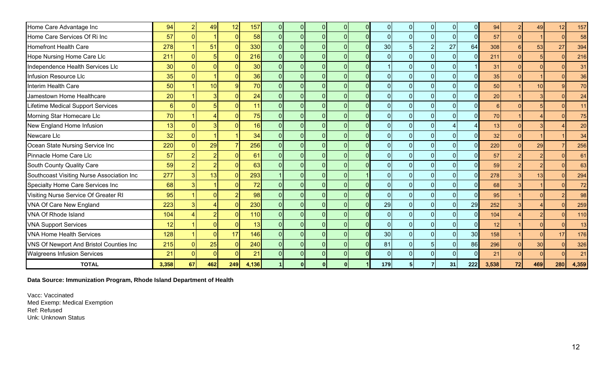| Home Care Advantage Inc                   | 94              |          | 49              | 12             | 157   | ΩI       |            | $\mathbf{0}$ |                 | $\mathbf{0}$   | 01             |          | 94              |    | 49              | 12  | 157   |
|-------------------------------------------|-----------------|----------|-----------------|----------------|-------|----------|------------|--------------|-----------------|----------------|----------------|----------|-----------------|----|-----------------|-----|-------|
| Home Care Services Of Ri Inc              | 57              |          |                 | $\overline{0}$ | 58    | ΩI       | $\Omega$   | $\mathbf{0}$ |                 | $\mathbf 0$    | $\overline{0}$ | $\Omega$ | 57              |    |                 |     | 58    |
| <b>Homefront Health Care</b>              | 278             |          | 51              | $\mathbf{0}$   | 330   | ΩI       | $\Omega$   | $\mathbf{0}$ | 30 <sup>°</sup> | $\overline{2}$ | 27             | 64       | 308             |    | 53              | 27  | 394   |
| Hope Nursing Home Care Llc                | 211             |          |                 | $\overline{0}$ | 216   | ΩI       | $\Omega$   | $\mathbf 0$  |                 | $\mathbf{0}$   | $\overline{0}$ | $\Omega$ | 211             |    |                 |     | 216   |
| Independence Health Services Llc          | 30 <sup>°</sup> |          |                 | $\Omega$       | 30    | ΩI       | $\Omega$   | $\mathbf 0$  |                 | $\mathbf{0}$   |                |          | 31              |    |                 |     | 31    |
| <b>Infusion Resource Llc</b>              | 35              |          |                 | $\Omega$       | 36    | ΩI       | $\Omega$   | $\mathbf 0$  |                 | $\mathbf{0}$   |                |          | 35              |    |                 |     | 36    |
| Interim Health Care                       | 50              |          | 10 <sup>1</sup> | 9              | 70    | ∩∣       | $\Omega$   | $\mathbf{0}$ |                 | $\Omega$       |                |          | 50              |    | 10 <sup>1</sup> | q   | 70    |
| Jamestown Home Healthcare                 | 20              |          |                 | $\Omega$       | 24    | ΩI       | C          | $\mathbf{0}$ |                 | $\Omega$       | $\Omega$       |          | 20 <sub>2</sub> |    |                 |     | 24    |
| Lifetime Medical Support Services         | $6 \mid$        |          |                 | $\Omega$       | 11    | ΩI       | $\Omega$   | $\mathbf{0}$ |                 | $\Omega$       | $\Omega$       |          |                 |    |                 |     | 11    |
| Morning Star Homecare Llc                 | 70              |          |                 | $\Omega$       | 75    | ΩI       | $\Omega$   | $\mathbf{0}$ |                 | $\mathbf{0}$   | $\overline{0}$ |          | 70              |    |                 |     | 75    |
| New England Home Infusion                 | 13              |          |                 | $\Omega$       | 16    | ΩI       | $\Omega$   | $\mathbf{0}$ |                 | $\mathbf{0}$   |                |          | 13              |    |                 |     | 20    |
| Newcare Llc                               | 32              |          |                 |                | 34    | ΩI       | $\Omega$   | $\mathbf{0}$ |                 | $\mathbf{0}$   | $\overline{0}$ |          | 32              |    |                 |     | 34    |
| Ocean State Nursing Service Inc           | 220             |          | 29              |                | 256   | ΩI       | $\Omega$   | $\mathbf{0}$ |                 | $\Omega$       |                |          | 220             |    | 29              |     | 256   |
| Pinnacle Home Care Llc                    | 57              |          |                 | $\Omega$       | 61    | ΩI       | $\Omega$   | $\mathbf 0$  |                 | $\Omega$       |                |          | 57              |    |                 |     | 61    |
| South County Quality Care                 | 59              |          |                 |                | 63    |          | $\Omega$   | $\mathbf{0}$ |                 | $\Omega$       |                |          | 59              |    |                 |     | 63    |
| Southcoast Visiting Nurse Association Inc | 277             |          | 13              | $\Omega$       | 293   |          |            | $\mathbf{0}$ |                 | $\overline{0}$ |                |          | 278             |    | 13              |     | 294   |
| Specialty Home Care Services Inc          | 68              |          |                 |                | 72    |          |            | $\mathbf{0}$ |                 | $\Omega$       |                |          | 68              |    |                 |     | 72    |
| Visiting Nurse Service Of Greater RI      | 95              |          |                 |                | 98    |          |            | $\mathbf 0$  |                 | $\mathbf 0$    | $\Omega$       |          | 95              |    |                 |     | 98    |
| VNA Of Care New England                   | 223             |          |                 | $\Omega$       | 230   | $\Omega$ |            | $\Omega$     | 29              | $\mathbf{0}$   | $\Omega$       | 29       | 252             |    |                 |     | 259   |
| VNA Of Rhode Island                       | 104             |          |                 | $\Omega$       | 110   | $\Omega$ | $\Omega$   | $\mathbf{0}$ |                 | $\Omega$       | $\Omega$       |          | 104             |    |                 |     | 110   |
| <b>VNA Support Services</b>               | 12              |          |                 |                | 13    |          |            | $\Omega$     |                 | $\Omega$       | $\Omega$       |          | 12              |    |                 |     | 13    |
| <b>VNA Home Health Services</b>           | 128             |          |                 | 17             | 146   | ΩI       | $\sqrt{ }$ | $\Omega$     | 30 <sup>°</sup> | $\mathbf{0}$   | $\Omega$       | 30       | 158             |    |                 | 17  | 176   |
| VNS Of Newport And Bristol Counties Inc   | 215             |          | 25              | $\Omega$       | 240   | ΩI       |            | $\Omega$     | 81              | 5              | $\Omega$       | 86       | 296             |    | 30 <sup>°</sup> |     | 326   |
| <b>Walgreens Infusion Services</b>        | 21              | $\Omega$ | $\Omega$        | $\Omega$       | 21    | ΩI       | $\Omega$   | $\mathbf{0}$ | $\Omega$        | $\mathbf{0}$   | $\overline{0}$ |          | 21              |    |                 |     | 21    |
| <b>TOTAL</b>                              | 3,358           | 67       | 462             | 249            | 4,136 |          |            |              | 179             |                | 31             | 222      | 3,538           | 72 | 469             | 280 | 4,359 |

**Data Source: Immunization Program, Rhode Island Department of Health**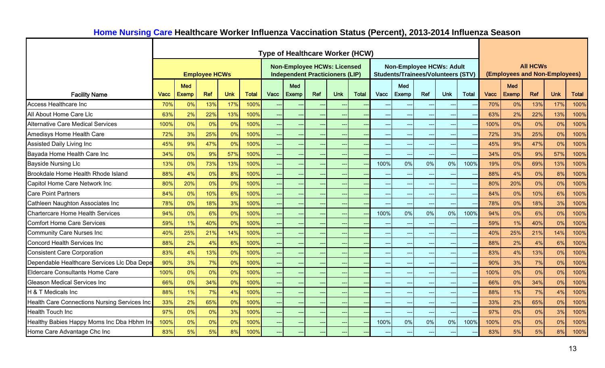|                                              |      |              |                      |            |              |                          | <b>Type of Healthcare Worker (HCW)</b>                                       |       |            |              |      |                                                                              |     |            |              |      |                               |                 |            |              |
|----------------------------------------------|------|--------------|----------------------|------------|--------------|--------------------------|------------------------------------------------------------------------------|-------|------------|--------------|------|------------------------------------------------------------------------------|-----|------------|--------------|------|-------------------------------|-----------------|------------|--------------|
|                                              |      |              | <b>Employee HCWs</b> |            |              |                          | <b>Non-Employee HCWs: Licensed</b><br><b>Independent Practicioners (LIP)</b> |       |            |              |      | <b>Non-Employee HCWs: Adult</b><br><b>Students/Trainees/Volunteers (STV)</b> |     |            |              |      | (Employees and Non-Employees) | <b>All HCWs</b> |            |              |
|                                              |      | <b>Med</b>   |                      |            |              |                          | <b>Med</b>                                                                   |       |            |              |      | Med                                                                          |     |            |              |      | Med                           |                 |            |              |
| <b>Facility Name</b>                         | Vacc | <b>Exemp</b> | Ref                  | <b>Unk</b> | <b>Total</b> | Vacc                     | <b>Exemp</b>                                                                 | Ref   | <b>Unk</b> | <b>Total</b> | Vacc | <b>Exemp</b>                                                                 | Ref | <b>Unk</b> | <b>Total</b> | Vacc | <b>Exemp</b>                  | Ref             | <b>Unk</b> | <b>Total</b> |
| <b>Access Healthcare Inc</b>                 | 70%  | 0%           | 13%                  | 17%        | 100%         | --                       | $\rightarrow$                                                                |       |            |              |      |                                                                              |     |            |              | 70%  | 0%                            | 13%             | 17%        | 100%         |
| All About Home Care Llc                      | 63%  | 2%           | 22%                  | 13%        | 100%         | --                       | $\overline{\phantom{a}}$                                                     |       |            |              |      |                                                                              |     |            |              | 63%  | 2%                            | 22%             | 13%        | 100%         |
| <b>Alternative Care Medical Services</b>     | 100% | 0%           | 0%                   | 0%         | 100%         | --                       | $\longrightarrow$                                                            |       |            |              |      |                                                                              |     | $\sim$     |              | 100% | 0%                            | 0%              | 0%         | 100%         |
| Amedisys Home Health Care                    | 72%  | 3%           | 25%                  | 0%         | 100%         |                          | ---                                                                          |       |            |              |      |                                                                              |     |            |              | 72%  | 3%                            | 25%             | 0%         | 100%         |
| Assisted Daily Living Inc                    | 45%  | 9%           | 47%                  | 0%         | 100%         | --                       | ---                                                                          |       |            |              |      |                                                                              |     |            |              | 45%  | 9%                            | 47%             | 0%         | 100%         |
| Bayada Home Health Care Inc                  | 34%  | 0%           | 9%                   | 57%        | 100%         | --                       | ---                                                                          |       |            |              |      |                                                                              |     |            |              | 34%  | 0%                            | 9%              | 57%        | 100%         |
| <b>Bayside Nursing Llc</b>                   | 13%  | 0%           | 73%                  | 13%        | 100%         | <u>.,</u>                | $\overline{a}$                                                               |       |            |              | 100% | 0%                                                                           | 0%  | 0%         | 100%         | 19%  | 0%                            | 69%             | 13%        | 100%         |
| Brookdale Home Health Rhode Island           | 88%  | 4%           | 0%                   | 8%         | 100%         |                          | ---                                                                          |       |            |              |      |                                                                              |     |            |              | 88%  | 4%                            | 0%              | 8%         | 100%         |
| Capitol Home Care Network Inc                | 80%  | 20%          | 0%                   | 0%         | 100%         | $\overline{a}$           | ---                                                                          |       |            |              |      |                                                                              |     |            |              | 80%  | 20%                           | 0%              | 0%         | 100%         |
| <b>Care Point Partners</b>                   | 84%  | 0%           | 10%                  | 6%         | 100%         | $\overline{a}$           | $ -$                                                                         |       |            |              |      |                                                                              |     |            |              | 84%  | 0%                            | 10%             | 6%         | 100%         |
| Cathleen Naughton Associates Inc             | 78%  | 0%           | 18%                  | 3%         | 100%         | $\overline{a}$           | $---$                                                                        |       |            |              |      |                                                                              |     |            |              | 78%  | 0%                            | 18%             | 3%         | 100%         |
| <b>Chartercare Home Health Services</b>      | 94%  | 0%           | 6%                   | 0%         | 100%         | --                       | $--$                                                                         |       |            |              | 100% | 0%                                                                           | 0%  | 0%         | 100%         | 94%  | 0%                            | 6%              | 0%         | 100%         |
| <b>Comfort Home Care Services</b>            | 59%  | 1%           | 40%                  | 0%         | 100%         | --                       | $--$                                                                         |       |            |              |      |                                                                              |     | --         | $\sim$       | 59%  | 1%                            | 40%             | 0%         | 100%         |
| <b>Community Care Nurses Inc</b>             | 40%  | 25%          | 21%                  | 14%        | 100%         | --                       | $\qquad \qquad -\qquad$                                                      |       | $---$      |              |      |                                                                              |     | $\sim$     |              | 40%  | 25%                           | 21%             | 14%        | 100%         |
| <b>Concord Health Services Inc</b>           | 88%  | 2%           | 4%                   | 6%         | 100%         | --                       | $- - -$                                                                      |       |            |              |      |                                                                              |     |            |              | 88%  | 2%                            | 4%              | 6%         | 100%         |
| <b>Consistent Care Corporation</b>           | 83%  | 4%           | 13%                  | 0%         | 100%         | --                       | $\qquad \qquad -\qquad$                                                      | $---$ | $---$      |              | ---  |                                                                              |     |            |              | 83%  | 4%                            | 13%             | 0%         | 100%         |
| Dependable Healthcare Services Llc Dba Depe  | 90%  | 3%           | 7%                   | 0%         | 100%         |                          | $--$                                                                         |       |            |              |      |                                                                              |     |            |              | 90%  | 3%                            | 7%              | 0%         | 100%         |
| Eldercare Consultants Home Care              | 100% | 0%           | 0%                   | 0%         | 100%         | --                       | $\overline{a}$                                                               |       |            |              |      |                                                                              |     |            |              | 100% | 0%                            | 0%              | 0%         | 100%         |
| <b>Gleason Medical Services Inc</b>          | 66%  | 0%           | 34%                  | 0%         | 100%         |                          | ---                                                                          |       |            |              |      |                                                                              |     |            |              | 66%  | 0%                            | 34%             | 0%         | 100%         |
| H & T Medicals Inc                           | 88%  | 1%           | 7%                   | 4%         | 100%         |                          | $\rightarrow$                                                                |       |            |              |      |                                                                              |     |            |              | 88%  | 1%                            | 7%              | 4%         | 100%         |
| Health Care Connections Nursing Services Inc | 33%  | 2%           | 65%                  | 0%         | 100%         | $\overline{a}$           | $\rightarrow$                                                                |       |            |              |      |                                                                              |     |            |              | 33%  | 2%                            | 65%             | 0%         | 100%         |
| <b>Health Touch Inc</b>                      | 97%  | 0%           | 0%                   | 3%         | 100%         | $\overline{\phantom{a}}$ | $\overline{\phantom{a}}$                                                     |       |            |              |      |                                                                              |     |            |              | 97%  | 0%                            | 0%              | 3%         | 100%         |
| Healthy Babies Happy Moms Inc Dba Hbhm Ind   | 100% | 0%           | 0%                   | 0%         | 100%         | $\overline{a}$           | $\sim$                                                                       |       |            |              | 100% | 0%                                                                           | 0%  | 0%         | 100%         | 100% | 0%                            | 0%              | 0%         | 100%         |
| Home Care Advantage Chc Inc                  | 83%  | 5%           | 5%                   | 8%         | 100%         |                          |                                                                              |       |            |              |      |                                                                              |     |            |              | 83%  | 5%                            | 5%              | 8%         | 100%         |

# **Home Nursing Care Healthcare Worker Influenza Vaccination Status (Percent), 2013-2014 Influenza Season**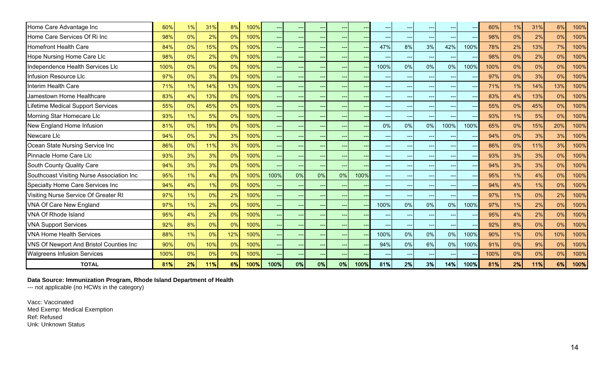| Home Care Advantage Inc                   | 60%  | 1% | 31% | 8%  | 100% |      |                                       | --             |       |      |                          |       |       |       |      | 60%  | 1% | 31% | 8%  | 100% |
|-------------------------------------------|------|----|-----|-----|------|------|---------------------------------------|----------------|-------|------|--------------------------|-------|-------|-------|------|------|----|-----|-----|------|
| Home Care Services Of Ri Inc              | 98%  | 0% | 2%  | 0%  | 100% |      | $\sim$                                | $\overline{a}$ | $---$ |      | $---$                    | $---$ | $---$ | ---   |      | 98%  | 0% | 2%  | 0%  | 100% |
| <b>Homefront Health Care</b>              | 84%  | 0% | 15% | 0%  | 100% |      | $\sim$                                | --             | $---$ |      | 47%                      | 8%    | 3%    | 42%   | 100% | 78%  | 2% | 13% | 7%  | 100% |
| Hope Nursing Home Care Llc                | 98%  | 0% | 2%  | 0%  | 100% |      | $\hspace{0.05cm}$ – $\hspace{0.05cm}$ | $--$           | $---$ |      | $\overline{\phantom{a}}$ | $---$ | $---$ |       |      | 98%  | 0% | 2%  | 0%  | 100% |
| Independence Health Services Llc          | 100% | 0% | 0%  | 0%  | 100% |      | $\hspace{0.05cm}$ – $\hspace{0.05cm}$ | --             | $---$ |      | 100%                     | 0%    | 0%    | 0%    | 100% | 100% | 0% | 0%  | 0%  | 100% |
| Infusion Resource Llc                     | 97%  | 0% | 3%  | 0%  | 100% |      | <b>H</b>                              |                |       |      |                          |       |       |       |      | 97%  | 0% | 3%  | 0%  | 100% |
| Interim Health Care                       | 71%  | 1% | 14% | 13% | 100% |      |                                       |                |       |      |                          |       |       |       |      | 71%  | 1% | 14% | 13% | 100% |
| Jamestown Home Healthcare                 | 83%  | 4% | 13% | 0%  | 100% |      | $\sim$                                |                |       |      | $\overline{\phantom{a}}$ |       |       |       |      | 83%  | 4% | 13% | 0%  | 100% |
| Lifetime Medical Support Services         | 55%  | 0% | 45% | 0%  | 100% |      |                                       |                |       |      |                          |       |       |       |      | 55%  | 0% | 45% | 0%  | 100% |
| Morning Star Homecare Llc                 | 93%  | 1% | 5%  | 0%  | 100% |      | $\sim$                                |                |       |      | $\overline{\phantom{a}}$ |       |       |       |      | 93%  | 1% | 5%  | 0%  | 100% |
| New England Home Infusion                 | 81%  | 0% | 19% | 0%  | 100% |      |                                       |                |       |      | 0%                       | 0%    | 0%    | 100%  | 100% | 65%  | 0% | 15% | 20% | 100% |
| Newcare Llc                               | 94%  | 0% | 3%  | 3%  | 100% |      | <b>H</b>                              |                |       |      | $--$                     |       |       |       |      | 94%  | 0% | 3%  | 3%  | 100% |
| Ocean State Nursing Service Inc           | 86%  | 0% | 11% | 3%  | 100% |      | $ -$                                  | $---$          | $---$ |      | $---$                    | $---$ |       | ---   |      | 86%  | 0% | 11% | 3%  | 100% |
| Pinnacle Home Care Llc                    | 93%  | 3% | 3%  | 0%  | 100% |      | $ -$                                  | $---$          | $---$ |      | $---$                    |       |       | $---$ |      | 93%  | 3% | 3%  | 0%  | 100% |
| South County Quality Care                 | 94%  | 3% | 3%  | 0%  | 100% |      |                                       |                |       |      |                          |       |       |       |      | 94%  | 3% | 3%  | 0%  | 100% |
| Southcoast Visiting Nurse Association Inc | 95%  | 1% | 4%  | 0%  | 100% | 100% | 0%                                    | 0%             | 0%    | 100% | $\qquad \qquad -\qquad$  |       |       |       |      | 95%  | 1% | 4%  | 0%  | 100% |
| Specialty Home Care Services Inc          | 94%  | 4% | 1%  | 0%  | 100% |      |                                       |                |       |      |                          |       |       |       |      | 94%  | 4% | 1%  | 0%  | 100% |
| Visiting Nurse Service Of Greater RI      | 97%  | 1% | 0%  | 2%  | 100% |      |                                       |                |       |      |                          |       |       |       |      | 97%  | 1% | 0%  | 2%  | 100% |
| VNA Of Care New England                   | 97%  | 1% | 2%  | 0%  | 100% |      |                                       |                |       |      | 100%                     | 0%    | 0%    | 0%    | 100% | 97%  | 1% | 2%  | 0%  | 100% |
| <b>VNA Of Rhode Island</b>                | 95%  | 4% | 2%  | 0%  | 100% |      |                                       |                |       |      |                          |       |       |       |      | 95%  | 4% | 2%  | 0%  | 100% |
| <b>VNA Support Services</b>               | 92%  | 8% | 0%  | 0%  | 100% |      |                                       | $-$            |       |      |                          | $---$ |       |       |      | 92%  | 8% | 0%  | 0%  | 100% |
| <b>VNA Home Health Services</b>           | 88%  | 1% | 0%  | 12% | 100% |      | $\sim$                                | --             | $---$ |      | 100%                     | 0%    | 0%    | 0%    | 100% | 90%  | 1% | 0%  | 10% | 100% |
| VNS Of Newport And Bristol Counties Inc   | 90%  | 0% | 10% | 0%  | 100% |      | $\sim$                                | --             | $---$ |      | 94%                      | 0%    | 6%    | 0%    | 100% | 91%  | 0% | 9%  | 0%  | 100% |
| <b>Walgreens Infusion Services</b>        | 100% | 0% | 0%  | 0%  | 100% |      | <b>H</b>                              | --             | $--$  |      |                          |       |       |       |      | 100% | 0% | 0%  | 0%  | 100% |
| <b>TOTAL</b>                              | 81%  | 2% | 11% | 6%  | 100% | 100% | 0%                                    | 0%             | 0%    | 100% | 81%                      | 2%    | 3%    | 14%   | 100% | 81%  | 2% | 11% | 6%  | 100% |

**Data Source: Immunization Program, Rhode Island Department of Health**

--- not applicable (no HCWs in the category)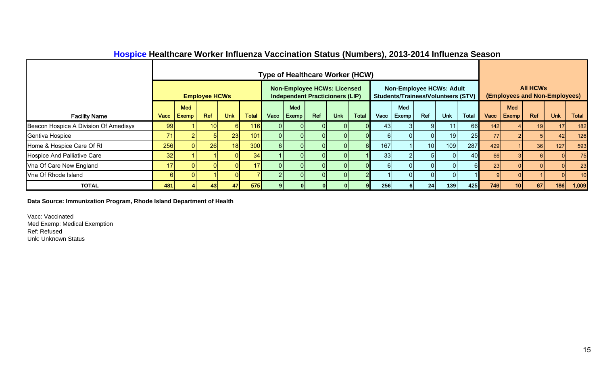|                                       |            |              |                      |              |              |      |       |                                                                              |            |              | $\cdots$ |                                                                              |                 |            |              |      |            |                 |                               |              |
|---------------------------------------|------------|--------------|----------------------|--------------|--------------|------|-------|------------------------------------------------------------------------------|------------|--------------|----------|------------------------------------------------------------------------------|-----------------|------------|--------------|------|------------|-----------------|-------------------------------|--------------|
|                                       |            |              |                      |              |              |      |       | <b>Type of Healthcare Worker (HCW)</b>                                       |            |              |          |                                                                              |                 |            |              |      |            |                 |                               |              |
|                                       |            |              | <b>Employee HCWs</b> |              |              |      |       | <b>Non-Employee HCWs: Licensed</b><br><b>Independent Practicioners (LIP)</b> |            |              |          | <b>Non-Employee HCWs: Adult</b><br><b>Students/Trainees/Volunteers (STV)</b> |                 |            |              |      |            | <b>All HCWs</b> | (Employees and Non-Employees) |              |
|                                       |            | <b>Med</b>   |                      |              |              |      | Med   |                                                                              |            |              |          | Med                                                                          |                 |            |              |      | <b>Med</b> |                 |                               |              |
| <b>Facility Name</b>                  | Vacc       | <b>Exemp</b> | Ref                  | <b>Unk</b>   | <b>Total</b> | Vacc | Exemp | Ref                                                                          | <b>Unk</b> | <b>Total</b> | Vacc     | Exemp                                                                        | Ref             | <b>Unk</b> | <b>Total</b> | Vacc | Exemp      | Ref             | <b>Unk</b>                    | <b>Total</b> |
| Beacon Hospice A Division Of Amedisys | <b>991</b> |              | 10 <sup>1</sup>      | <sup>6</sup> | 116          |      |       | 01                                                                           | 01         |              | 431      |                                                                              | -91             | 11         | <b>66</b>    | 142  |            | 19              |                               | 182          |
| Gentiva Hospice                       | 71         |              |                      | 23           | 101          |      |       | 0 I                                                                          | ΩI         |              |          |                                                                              |                 | 19         | 25           | 77   |            |                 | 42                            | 126          |
| Home & Hospice Care Of RI             | 256        |              | 26                   | 18           | 300          |      |       | 01                                                                           |            |              | 167      |                                                                              | 10 <sup>1</sup> | 109        | 287          | 429  |            | 36              | 127                           | 593          |
| <b>Hospice And Palliative Care</b>    | 32         |              |                      | ΩI           | 34           |      |       | 01                                                                           | $\Omega$   |              | 33       |                                                                              |                 |            | 40           | 66   |            |                 |                               | 75           |
| Vna Of Care New England               | 17         |              |                      | $\Omega$     |              |      |       | $\Omega$                                                                     | ΩI         |              |          |                                                                              | $\Omega$        | $\Omega$   |              | 23   |            |                 |                               | 23           |
| Vna Of Rhode Island                   |            |              |                      | ΩI           |              |      |       | $\overline{0}$                                                               | 01         |              |          |                                                                              | $\overline{0}$  |            |              |      |            |                 |                               | 10           |
| <b>TOTAL</b>                          | 481        |              | 43                   | 47I          | 575          |      |       |                                                                              |            |              | 256      |                                                                              | 24              | 139        | 425          | 746  | 10 I       | 67              | 186                           | 1,009        |

## **Hospice Healthcare Worker Influenza Vaccination Status (Numbers), 2013-2014 Influenza Season**

**Data Source: Immunization Program, Rhode Island Department of Health**